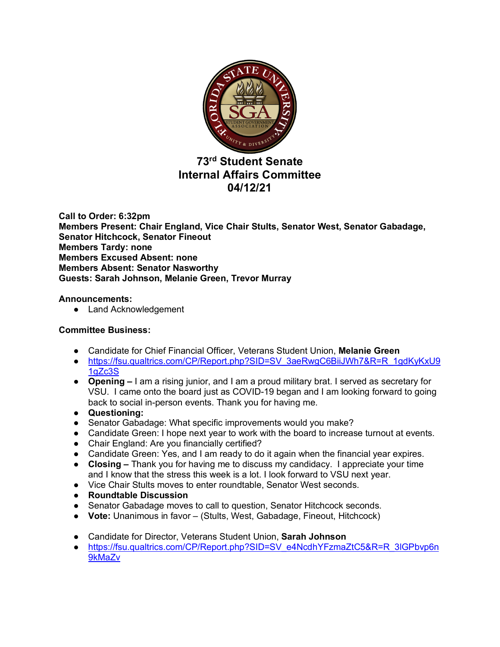

# **73rd Student Senate Internal Affairs Committee 04/12/21**

**Call to Order: 6:32pm Members Present: Chair England, Vice Chair Stults, Senator West, Senator Gabadage, Senator Hitchcock, Senator Fineout Members Tardy: none Members Excused Absent: none Members Absent: Senator Nasworthy Guests: Sarah Johnson, Melanie Green, Trevor Murray**

# **Announcements:**

● Land Acknowledgement

# **Committee Business:**

- Candidate for Chief Financial Officer, Veterans Student Union, **Melanie Green**
- https://fsu.qualtrics.com/CP/Report.php?SID=SV\_3aeRwgC6BiiJWh7&R=R\_1gdKyKxU9 1gZc3S
- **Opening –** I am a rising junior, and I am a proud military brat. I served as secretary for VSU. I came onto the board just as COVID-19 began and I am looking forward to going back to social in-person events. Thank you for having me.
- **Questioning:**
- Senator Gabadage: What specific improvements would you make?
- Candidate Green: I hope next year to work with the board to increase turnout at events.
- Chair England: Are you financially certified?
- Candidate Green: Yes, and I am ready to do it again when the financial year expires.
- **Closing –** Thank you for having me to discuss my candidacy. I appreciate your time and I know that the stress this week is a lot. I look forward to VSU next year.
- Vice Chair Stults moves to enter roundtable, Senator West seconds.
- **Roundtable Discussion**
- Senator Gabadage moves to call to question, Senator Hitchcock seconds.
- **Vote:** Unanimous in favor (Stults, West, Gabadage, Fineout, Hitchcock)
- Candidate for Director, Veterans Student Union, **Sarah Johnson**
- https://fsu.qualtrics.com/CP/Report.php?SID=SV\_e4NcdhYFzmaZtC5&R=R\_3lGPbvp6n 9kMaZv